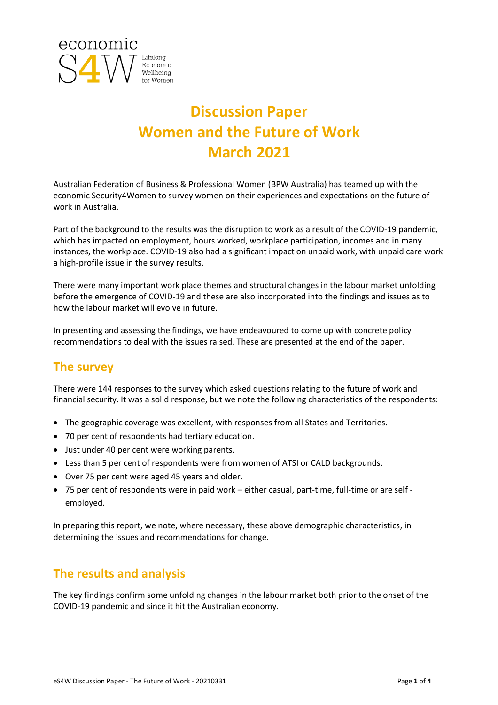

# **Discussion Paper Women and the Future of Work March 2021**

Australian Federation of Business & Professional Women (BPW Australia) has teamed up with the economic Security4Women to survey women on their experiences and expectations on the future of work in Australia.

Part of the background to the results was the disruption to work as a result of the COVID-19 pandemic, which has impacted on employment, hours worked, workplace participation, incomes and in many instances, the workplace. COVID-19 also had a significant impact on unpaid work, with unpaid care work a high-profile issue in the survey results.

There were many important work place themes and structural changes in the labour market unfolding before the emergence of COVID-19 and these are also incorporated into the findings and issues as to how the labour market will evolve in future.

In presenting and assessing the findings, we have endeavoured to come up with concrete policy recommendations to deal with the issues raised. These are presented at the end of the paper.

## **The survey**

There were 144 responses to the survey which asked questions relating to the future of work and financial security. It was a solid response, but we note the following characteristics of the respondents:

- The geographic coverage was excellent, with responses from all States and Territories.
- 70 per cent of respondents had tertiary education.
- Just under 40 per cent were working parents.
- Less than 5 per cent of respondents were from women of ATSI or CALD backgrounds.
- Over 75 per cent were aged 45 years and older.
- 75 per cent of respondents were in paid work either casual, part-time, full-time or are self employed.

In preparing this report, we note, where necessary, these above demographic characteristics, in determining the issues and recommendations for change.

### **The results and analysis**

The key findings confirm some unfolding changes in the labour market both prior to the onset of the COVID-19 pandemic and since it hit the Australian economy.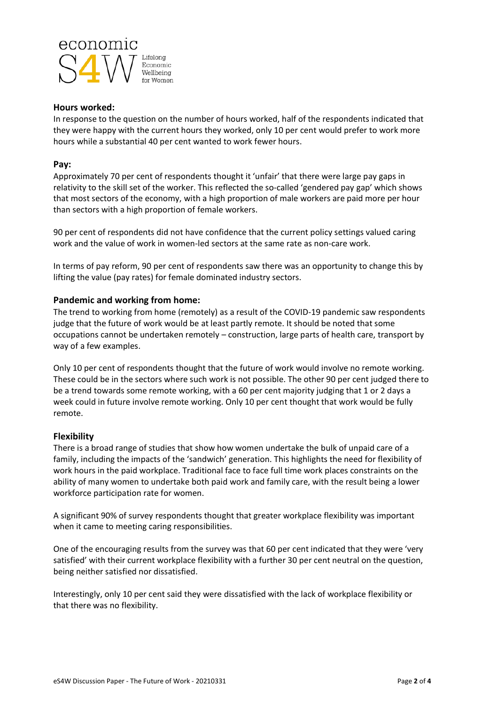

#### **Hours worked:**

In response to the question on the number of hours worked, half of the respondents indicated that they were happy with the current hours they worked, only 10 per cent would prefer to work more hours while a substantial 40 per cent wanted to work fewer hours.

#### **Pay:**

Approximately 70 per cent of respondents thought it 'unfair' that there were large pay gaps in relativity to the skill set of the worker. This reflected the so-called 'gendered pay gap' which shows that most sectors of the economy, with a high proportion of male workers are paid more per hour than sectors with a high proportion of female workers.

90 per cent of respondents did not have confidence that the current policy settings valued caring work and the value of work in women-led sectors at the same rate as non-care work.

In terms of pay reform, 90 per cent of respondents saw there was an opportunity to change this by lifting the value (pay rates) for female dominated industry sectors.

#### **Pandemic and working from home:**

The trend to working from home (remotely) as a result of the COVID-19 pandemic saw respondents judge that the future of work would be at least partly remote. It should be noted that some occupations cannot be undertaken remotely – construction, large parts of health care, transport by way of a few examples.

Only 10 per cent of respondents thought that the future of work would involve no remote working. These could be in the sectors where such work is not possible. The other 90 per cent judged there to be a trend towards some remote working, with a 60 per cent majority judging that 1 or 2 days a week could in future involve remote working. Only 10 per cent thought that work would be fully remote.

#### **Flexibility**

There is a broad range of studies that show how women undertake the bulk of unpaid care of a family, including the impacts of the 'sandwich' generation. This highlights the need for flexibility of work hours in the paid workplace. Traditional face to face full time work places constraints on the ability of many women to undertake both paid work and family care, with the result being a lower workforce participation rate for women.

A significant 90% of survey respondents thought that greater workplace flexibility was important when it came to meeting caring responsibilities.

One of the encouraging results from the survey was that 60 per cent indicated that they were 'very satisfied' with their current workplace flexibility with a further 30 per cent neutral on the question, being neither satisfied nor dissatisfied.

Interestingly, only 10 per cent said they were dissatisfied with the lack of workplace flexibility or that there was no flexibility.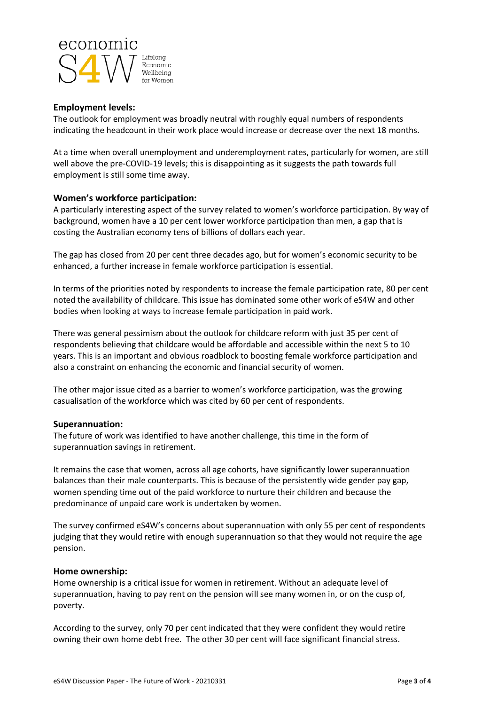

#### **Employment levels:**

The outlook for employment was broadly neutral with roughly equal numbers of respondents indicating the headcount in their work place would increase or decrease over the next 18 months.

At a time when overall unemployment and underemployment rates, particularly for women, are still well above the pre-COVID-19 levels; this is disappointing as it suggests the path towards full employment is still some time away.

#### **Women's workforce participation:**

A particularly interesting aspect of the survey related to women's workforce participation. By way of background, women have a 10 per cent lower workforce participation than men, a gap that is costing the Australian economy tens of billions of dollars each year.

The gap has closed from 20 per cent three decades ago, but for women's economic security to be enhanced, a further increase in female workforce participation is essential.

In terms of the priorities noted by respondents to increase the female participation rate, 80 per cent noted the availability of childcare. This issue has dominated some other work of eS4W and other bodies when looking at ways to increase female participation in paid work.

There was general pessimism about the outlook for childcare reform with just 35 per cent of respondents believing that childcare would be affordable and accessible within the next 5 to 10 years. This is an important and obvious roadblock to boosting female workforce participation and also a constraint on enhancing the economic and financial security of women.

The other major issue cited as a barrier to women's workforce participation, was the growing casualisation of the workforce which was cited by 60 per cent of respondents.

#### **Superannuation:**

The future of work was identified to have another challenge, this time in the form of superannuation savings in retirement.

It remains the case that women, across all age cohorts, have significantly lower superannuation balances than their male counterparts. This is because of the persistently wide gender pay gap, women spending time out of the paid workforce to nurture their children and because the predominance of unpaid care work is undertaken by women.

The survey confirmed eS4W's concerns about superannuation with only 55 per cent of respondents judging that they would retire with enough superannuation so that they would not require the age pension.

#### **Home ownership:**

Home ownership is a critical issue for women in retirement. Without an adequate level of superannuation, having to pay rent on the pension will see many women in, or on the cusp of, poverty.

According to the survey, only 70 per cent indicated that they were confident they would retire owning their own home debt free. The other 30 per cent will face significant financial stress.